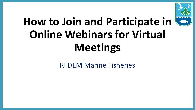

# **How to Join and Participate in Online Webinars for Virtual Meetings**

#### RI DEM Marine Fisheries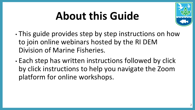# **About this Guide**



- This guide provides step by step instructions on how to join online webinars hosted by the RI DEM Division of Marine Fisheries.
- Each step has written instructions followed by click by click instructions to help you navigate the Zoom platform for online workshops.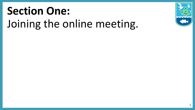# **Section One:**  Joining the online meeting.

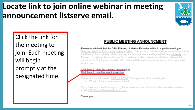## **Locate link to join online webinar in meeting announcement listserve email.**



Click the link for the meeting to join. Each meeting will begin promptly at the designated time.

#### **PUBLIC MEETING ANNOUNCMENT**

Please be advised that the DEM Division of Marine Fisheries will hold a public meeting on Monday, April 27, 2020, beginning @ 3:00PM. Due to the Covid-19 emergency, which prevents the Division from holding public meetings in-person, these meetings will be held virtually only. For each workshop, there will be a Zoom webinar and a conference call line to allow public participation. The login and call-in information will be sent in a subsequent notice prior to the workshops.

#### Click here to view the meeting presentation Click here to Join the meeting webinar

The workshop will be held 3:00 - 4:00PM. The agenda for this workshop is:

Whelk minimum size measurement

If you have any questions regarding the proposals or participation in the workshops please email DEM.MarineFisheries@dem.ri.gov.

Thank you.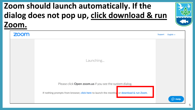### **Zoom should launch automatically. If the dialog does not pop up, click download & run Zoom.**

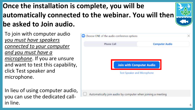## **Once the installation is complete, you will be automatically connected to the webinar. You will then be asked to Join audio.**



In lieu of using computer audio, you can use the dedicated call- $\mathsf{in\, line.}$ 

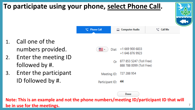

**Note: This is an example and not the phone numbers/meeting ID/participant ID that will be in use for the meetings.**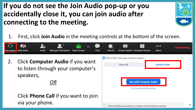#### **If you do not see the Join Audio pop-up or you accidentally close it, you can join audio after connecting to the meeting.**

- 1. First, click **Join Audio** in the meeting controls at the bottom of the screen.
- ı.  $cc$  $\bullet\bullet\bullet$ **End Meeting Start Video** Invite **Manage Participants Share Screen** Chat Record **Closed Caption Breakout Rooms More** loin Audio C Choose ONE of the audio conference options 2. Click **Computer Audio** if you want Phone Call **Computer Audio** to listen through your computer's speakers, *OR* **Join with Computer Audio Test Speaker and Microphone** Click **Phone Call** if you want to join via your phone. 8 Automatically join audio by computer when joining a meeting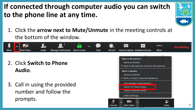### **If connected through computer audio you can switch to the phone line at any time.**



1. Click the **arrow next to Mute/Unmute** in the meeting controls at the bottom of the window.



- 2. Click **Switch to Phone Audio**.
- 3. Call in using the provided number and follow the prompts.

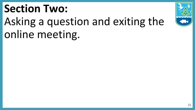# **Section Two:**  Asking a question and exiting the online meeting.

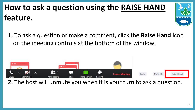## **How to ask a question using the RAISE HAND feature.**



**1.** To ask a question or make a comment, click the **Raise Hand** icon on the meeting controls at the bottom of the window.



**2.** The host will unmute you when it is your turn to ask a question.